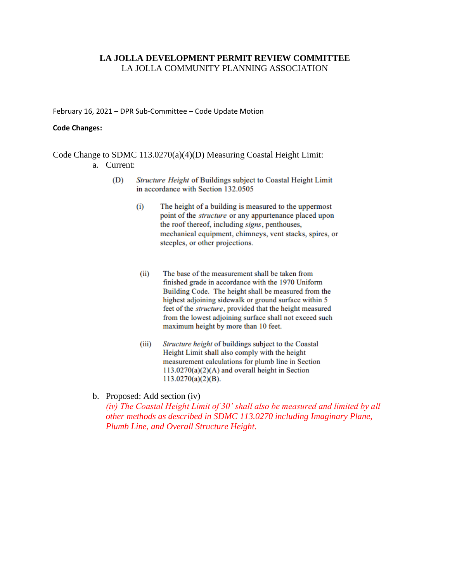## **LA JOLLA DEVELOPMENT PERMIT REVIEW COMMITTEE** LA JOLLA COMMUNITY PLANNING ASSOCIATION

February 16, 2021 – DPR Sub-Committee – Code Update Motion

#### **Code Changes:**

Code Change to SDMC 113.0270(a)(4)(D) Measuring Coastal Height Limit: a. Current:

- (D) Structure Height of Buildings subject to Coastal Height Limit in accordance with Section 132.0505
	- The height of a building is measured to the uppermost  $(i)$ point of the *structure* or any appurtenance placed upon the roof thereof, including signs, penthouses, mechanical equipment, chimneys, vent stacks, spires, or steeples, or other projections.
	- $(ii)$ The base of the measurement shall be taken from finished grade in accordance with the 1970 Uniform Building Code. The height shall be measured from the highest adjoining sidewalk or ground surface within 5 feet of the *structure*, provided that the height measured from the lowest adjoining surface shall not exceed such maximum height by more than 10 feet.
	- Structure height of buildings subject to the Coastal  $(iii)$ Height Limit shall also comply with the height measurement calculations for plumb line in Section  $113.0270(a)(2)(A)$  and overall height in Section  $113.0270(a)(2)(B)$ .
- b. Proposed: Add section (iv)

*(iv) The Coastal Height Limit of 30' shall also be measured and limited by all other methods as described in SDMC 113.0270 including Imaginary Plane, Plumb Line, and Overall Structure Height.*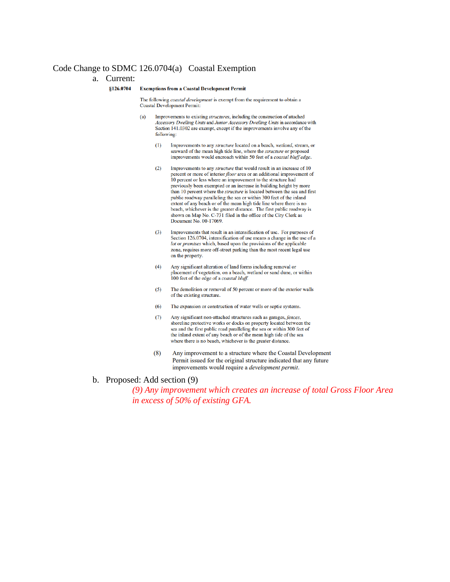## Code Change to SDMC 126.0704(a) Coastal Exemption

#### a. Current:

#### §126.0704

#### **Exemptions from a Coastal Development Permit**

The following coastal development is exempt from the requirement to obtain a **Coastal Development Permit:** 

- Improvements to existing structures, including the construction of attached  $(a)$ Accessory Dwelling Units and Junior Accessory Dwelling Units in accordance with Section 141.0302 are exempt, except if the improvements involve any of the following:
	- $(1)$ Improvements to any structure located on a beach, wetland, stream, or seaward of the mean high tide line, where the structure or proposed improvements would encroach within 50 feet of a coastal bluff edge.
	- $(2)$ Improvements to any structure that would result in an increase of 10 percent or more of interior floor area or an additional improvement of 10 percent or less where an improvement to the structure had previously been exempted or an increase in building height by more than 10 percent where the structure is located between the sea and first public roadway paralleling the sea or within 300 feet of the inland extent of any beach or of the mean high tide line where there is no beach, whichever is the greater distance. The first public roadway is shown on Map No. C-731 filed in the office of the City Clerk as Document No. 00-17069.
	- $(3)$ Improvements that result in an intensification of use. For purposes of Section 126.0704, intensification of use means a change in the use of a lot or premises which, based upon the provisions of the applicable zone, requires more off-street parking than the most recent legal use on the property.
	- Any significant alteration of land forms including removal or  $(4)$ placement of vegetation, on a beach, wetland or sand dune, or within 100 feet of the edge of a *coastal bluff*.
	- $(5)$ The demolition or removal of 50 percent or more of the exterior walls of the existing structure.
	- The expansion or construction of water wells or septic systems.  $(6)$
	- Any significant non-attached structures such as garages, fences,  $(7)$ shoreline protective works or docks on property located between the sea and the first public road paralleling the sea or within 300 feet of the inland extent of any beach or of the mean high tide of the sea where there is no beach, whichever is the greater distance.
	- Any improvement to a structure where the Coastal Development  $(8)$ Permit issued for the original structure indicated that any future improvements would require a *development permit*.

### b. Proposed: Add section (9)

*(9) Any improvement which creates an increase of total Gross Floor Area in excess of 50% of existing GFA.*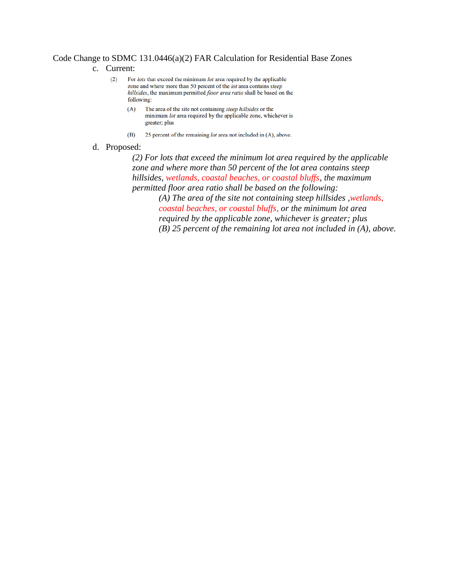## Code Change to SDMC 131.0446(a)(2) FAR Calculation for Residential Base Zones

- c. Current:
	- $(2)$ For lots that exceed the minimum lot area required by the applicable zone and where more than 50 percent of the lot area contains steep hillsides, the maximum permitted floor area ratio shall be based on the following:
		- The area of the site not containing steep hillsides or the  $(A)$ minimum lot area required by the applicable zone, whichever is greater; plus
		- $(B)$ 25 percent of the remaining lot area not included in (A), above.
- d. Proposed:

*(2) For lots that exceed the minimum lot area required by the applicable zone and where more than 50 percent of the lot area contains steep hillsides, wetlands, coastal beaches, or coastal bluffs, the maximum permitted floor area ratio shall be based on the following:* 

> *(A) The area of the site not containing steep hillsides ,wetlands, coastal beaches, or coastal bluffs, or the minimum lot area required by the applicable zone, whichever is greater; plus (B) 25 percent of the remaining lot area not included in (A), above.*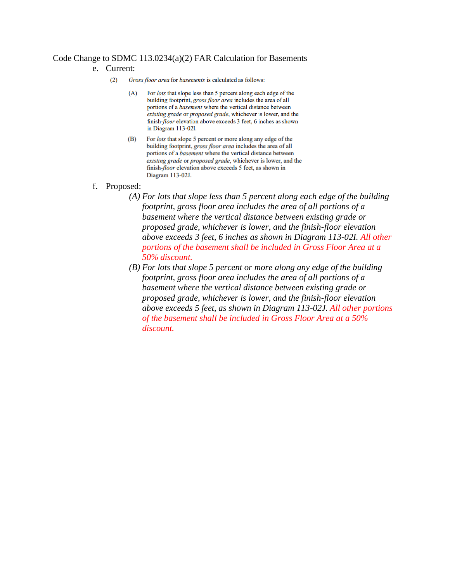# Code Change to SDMC 113.0234(a)(2) FAR Calculation for Basements

## e. Current:

- $(2)$ Gross floor area for basements is calculated as follows:
	- $(A)$ For lots that slope less than 5 percent along each edge of the building footprint, gross floor area includes the area of all portions of a *basement* where the vertical distance between existing grade or proposed grade, whichever is lower, and the finish-floor elevation above exceeds 3 feet, 6 inches as shown in Diagram 113-02I.
	- For *lots* that slope 5 percent or more along any edge of the (B) building footprint, gross floor area includes the area of all portions of a *basement* where the vertical distance between existing grade or proposed grade, whichever is lower, and the finish-floor elevation above exceeds 5 feet, as shown in Diagram 113-02J.
- f. Proposed:
	- *(A) For lots that slope less than 5 percent along each edge of the building footprint, gross floor area includes the area of all portions of a basement where the vertical distance between existing grade or proposed grade, whichever is lower, and the finish-floor elevation above exceeds 3 feet, 6 inches as shown in Diagram 113-02I. All other portions of the basement shall be included in Gross Floor Area at a 50% discount.*
	- *(B) For lots that slope 5 percent or more along any edge of the building footprint, gross floor area includes the area of all portions of a basement where the vertical distance between existing grade or proposed grade, whichever is lower, and the finish-floor elevation above exceeds 5 feet, as shown in Diagram 113-02J. All other portions of the basement shall be included in Gross Floor Area at a 50% discount.*